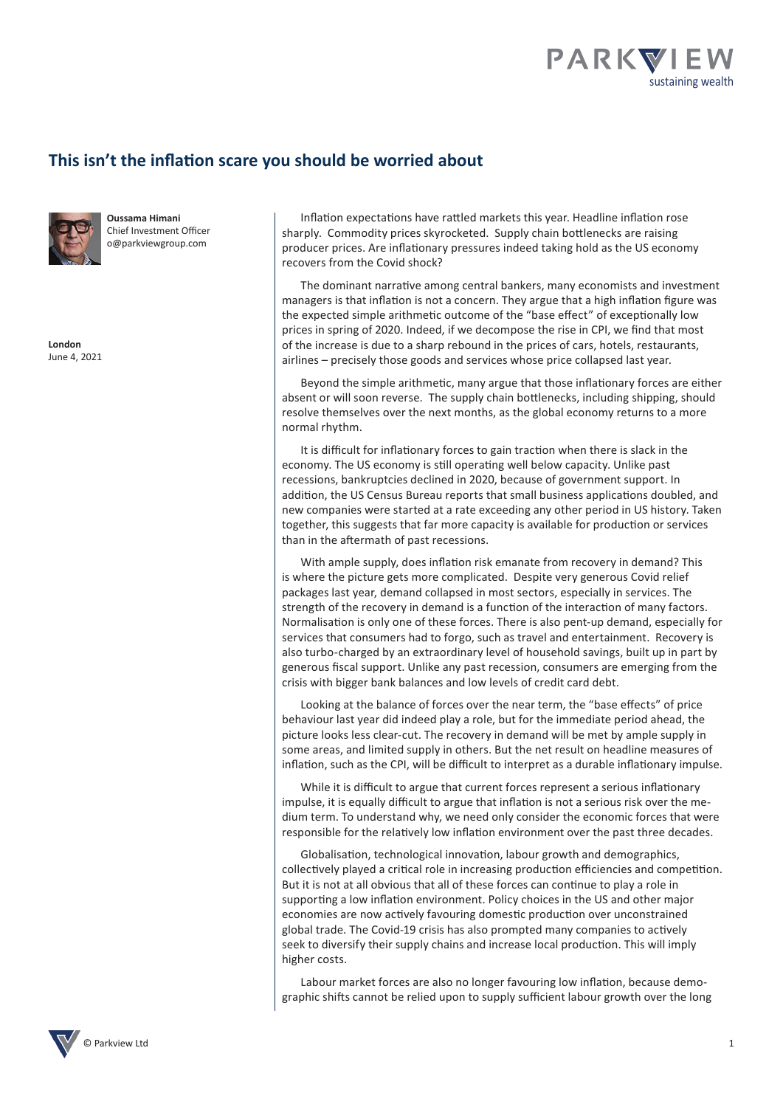

## **This isn't the inflation scare you should be worried about**



**Oussama Himani** Chief Investment Officer o@parkviewgroup.com

**London** June 4, 2021

Inflation expectations have rattled markets this year. Headline inflation rose sharply. Commodity prices skyrocketed. Supply chain bottlenecks are raising producer prices. Are inflationary pressures indeed taking hold as the US economy recovers from the Covid shock?

The dominant narrative among central bankers, many economists and investment managers is that inflation is not a concern. They argue that a high inflation figure was the expected simple arithmetic outcome of the "base effect" of exceptionally low prices in spring of 2020. Indeed, if we decompose the rise in CPI, we find that most of the increase is due to a sharp rebound in the prices of cars, hotels, restaurants, airlines – precisely those goods and services whose price collapsed last year.

Beyond the simple arithmetic, many argue that those inflationary forces are either absent or will soon reverse. The supply chain bottlenecks, including shipping, should resolve themselves over the next months, as the global economy returns to a more normal rhythm.

It is difficult for inflationary forces to gain traction when there is slack in the economy. The US economy is still operating well below capacity. Unlike past recessions, bankruptcies declined in 2020, because of government support. In addition, the US Census Bureau reports that small business applications doubled, and new companies were started at a rate exceeding any other period in US history. Taken together, this suggests that far more capacity is available for production or services than in the aftermath of past recessions.

With ample supply, does inflation risk emanate from recovery in demand? This is where the picture gets more complicated. Despite very generous Covid relief packages last year, demand collapsed in most sectors, especially in services. The strength of the recovery in demand is a function of the interaction of many factors. Normalisation is only one of these forces. There is also pent-up demand, especially for services that consumers had to forgo, such as travel and entertainment. Recovery is also turbo-charged by an extraordinary level of household savings, built up in part by generous fiscal support. Unlike any past recession, consumers are emerging from the crisis with bigger bank balances and low levels of credit card debt.

Looking at the balance of forces over the near term, the "base effects" of price behaviour last year did indeed play a role, but for the immediate period ahead, the picture looks less clear-cut. The recovery in demand will be met by ample supply in some areas, and limited supply in others. But the net result on headline measures of inflation, such as the CPI, will be difficult to interpret as a durable inflationary impulse.

While it is difficult to argue that current forces represent a serious inflationary impulse, it is equally difficult to argue that inflation is not a serious risk over the medium term. To understand why, we need only consider the economic forces that were responsible for the relatively low inflation environment over the past three decades.

Globalisation, technological innovation, labour growth and demographics, collectively played a critical role in increasing production efficiencies and competition. But it is not at all obvious that all of these forces can continue to play a role in supporting a low inflation environment. Policy choices in the US and other major economies are now actively favouring domestic production over unconstrained global trade. The Covid-19 crisis has also prompted many companies to actively seek to diversify their supply chains and increase local production. This will imply higher costs.

Labour market forces are also no longer favouring low inflation, because demographic shifts cannot be relied upon to supply sufficient labour growth over the long